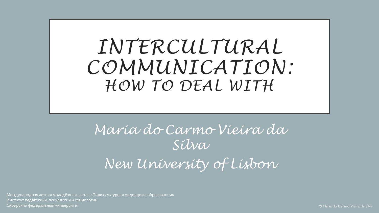*INTERCULTURAL COMMUNICATION: HOW TO DEAL WITH*

*Maria do Carmo Vieira da Silva New University of Lisbon*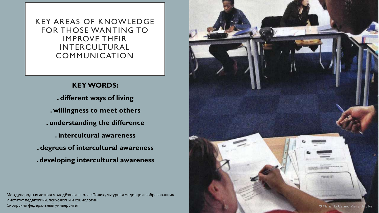KEY AREAS OF KNOWLEDGE FOR THOSE WANTING TO IMPROVE THEIR INTERCULTURAL COMMUNICATION

#### **KEY WORDS:**

**. different ways of living . willingness to meet others . understanding the difference . intercultural awareness . degrees of intercultural awareness . developing intercultural awareness**

Международная летняя молодёжная школа «Поликультурная медиация в образовании» Институт педагогики, психологии и социологии

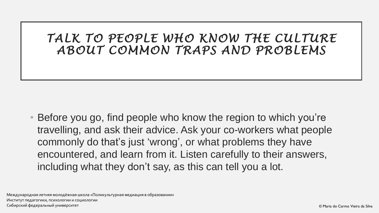## *TALK TO PEOPLE WHO KNOW THE CULTURE ABOUT COMMON TRAPS AND PROBLEMS*

• Before you go, find people who know the region to which you're travelling, and ask their advice. Ask your co-workers what people commonly do that's just 'wrong', or what problems they have encountered, and learn from it. Listen carefully to their answers, including what they don't say, as this can tell you a lot.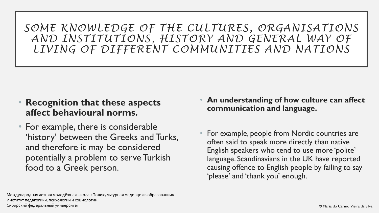*SOME KNOWLEDGE OF THE CULTURES, ORGANISATIONS AND INSTITUTIONS, HISTORY AND GENERAL WAY OF LIVING OF DIFFERENT COMMUNITIES AND NATIONS*

- **Recognition that these aspects affect behavioural norms.**
- For example, there is considerable 'history' between the Greeks and Turks, and therefore it may be considered potentially a problem to serve Turkish food to a Greek person.
- **An understanding of how culture can affect communication and language.**
- For example, people from Nordic countries are often said to speak more directly than native English speakers who tend to use more 'polite' language. Scandinavians in the UK have reported causing offence to English people by failing to say 'please' and 'thank you' enough.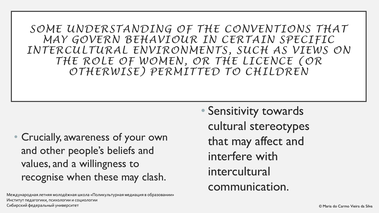*SOME UNDERSTANDING OF THE CONVENTIONS THAT MAY GOVERN BEHAVIOUR IN CERTAIN SPECIFIC INTERCULTURAL ENVIRONMENTS, SUCH AS VIEWS ON THE ROLE OF WOMEN, OR THE LICENCE (OR OTHERWISE) PERMITTED TO CHILDREN*

• Crucially, awareness of your own and other people's beliefs and values, and a willingness to recognise when these may clash.

Международная летняя молодёжная школа «Поликультурная медиация в образовании» Институт педагогики, психологии и социологии Сибирский федеральный университет © Maria do Carmo Vieira da Silva

• Sensitivity towards cultural stereotypes that may affect and interfere with intercultural communication.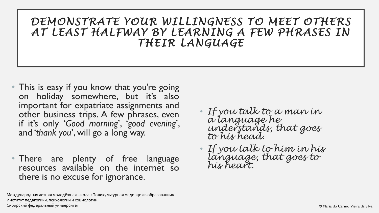### *DEMONSTRATE YOUR WILLINGNESS TO MEET OTHERS AT LEAST HALFWAY BY LEARNING A FEW PHRASES IN THEIR LANGUAGE*

- This is easy if you know that you're going on holiday somewhere, but it's also important for expatriate assignments and other business trips. A few phrases, even if it's only '*Good morning*', '*good evening*', and '*thank you*', will go a long way.
- There are plenty of free language resources available on the internet so there is no excuse for ignorance.
- *If you talk to a man in a language he understands, that goes to his head.*
- *If you talk to him in his language, that goes to his heart.*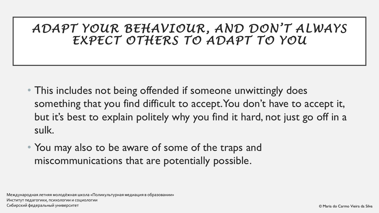*ADAPT YOUR BEHAVIOUR, AND DON'T ALWAYS EXPECT OTHERS TO ADAPT TO YOU*

- This includes not being offended if someone unwittingly does something that you find difficult to accept. You don't have to accept it, but it's best to explain politely why you find it hard, not just go off in a sulk.
- You may also to be aware of some of the traps and miscommunications that are potentially possible.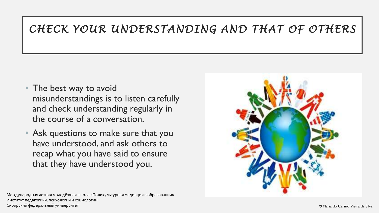## *CHECK YOUR UNDERSTANDING AND THAT OF OTHERS*

- The best way to avoid misunderstandings is to listen carefully and check understanding regularly in the course of a conversation.
- Ask questions to make sure that you have understood, and ask others to recap what you have said to ensure that they have understood you.

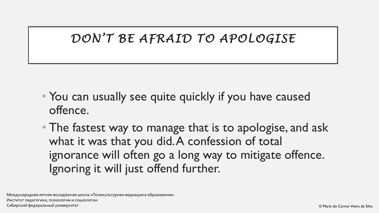## *DON'T BE AFRAID TO APOLOGISE*

- You can usually see quite quickly if you have caused offence.
- The fastest way to manage that is to apologise, and ask what it was that you did. A confession of total ignorance will often go a long way to mitigate offence. Ignoring it will just offend further.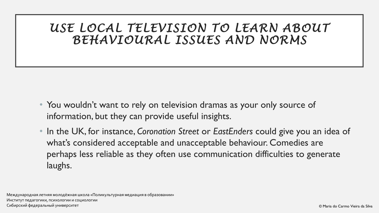## *USE LOCAL TELEVISION TO LEARN ABOUT BEHAVIOURAL ISSUES AND NORMS*

- You wouldn't want to rely on television dramas as your only source of information, but they can provide useful insights.
- In the UK, for instance, *Coronation Street* or *EastEnders* could give you an idea of what's considered acceptable and unacceptable behaviour. Comedies are perhaps less reliable as they often use communication difficulties to generate laughs.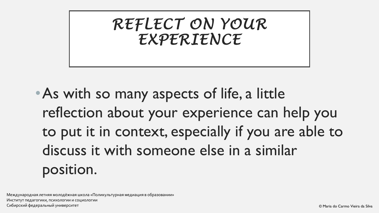*REFLECT ON YOUR EXPERIENCE*

•As with so many aspects of life, a little reflection about your experience can help you to put it in context, especially if you are able to discuss it with someone else in a similar position.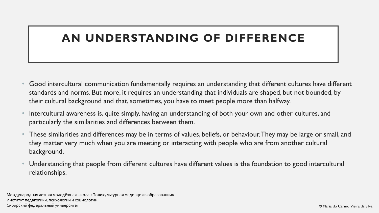### **AN UNDERSTANDING OF DIFFERENCE**

- Good intercultural communication fundamentally requires an understanding that different cultures have different standards and norms. But more, it requires an understanding that individuals are shaped, but not bounded, by their cultural background and that, sometimes, you have to meet people more than halfway.
- Intercultural awareness is, quite simply, having an understanding of both your own and other cultures, and particularly the similarities and differences between them.
- These similarities and differences may be in terms of values, beliefs, or behaviour. They may be large or small, and they matter very much when you are meeting or interacting with people who are from another cultural background.
- Understanding that people from different cultures have different values is the foundation to good intercultural relationships.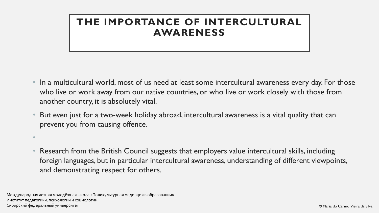### **THE IMPORTANCE OF INTERCULTURAL AWARENESS**

- In a multicultural world, most of us need at least some intercultural awareness every day. For those who live or work away from our native countries, or who live or work closely with those from another country, it is absolutely vital.
- But even just for a two-week holiday abroad, intercultural awareness is a vital quality that can prevent you from causing offence.
- Research from the British Council suggests that employers value intercultural skills, including foreign languages, but in particular intercultural awareness, understanding of different viewpoints, and demonstrating respect for others.

Международная летняя молодёжная школа «Поликультурная медиация в образовании» Институт педагогики, психологии и социологии Сибирский федеральный университет © Maria do Carmo Vieira da Silva

•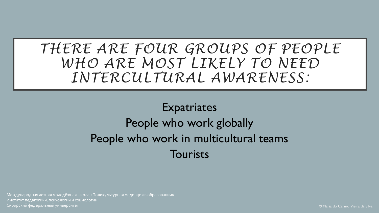## *THERE ARE FOUR GROUPS OF PEOPLE WHO ARE MOST LIKELY TO NEED INTERCULTURAL AWARENESS:*

## **Expatriates** People who work globally People who work in multicultural teams **Tourists**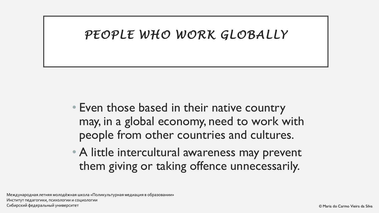### *PEOPLE WHO WORK GLOBALLY*

- Even those based in their native country may, in a global economy, need to work with people from other countries and cultures.
- A little intercultural awareness may prevent them giving or taking offence unnecessarily.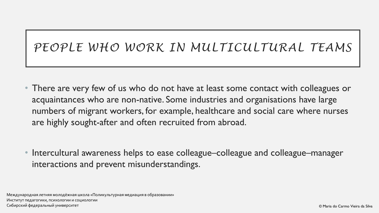## *PEOPLE WHO WORK IN MULTICULTURAL TEAMS*

• There are very few of us who do not have at least some contact with colleagues or acquaintances who are non-native. Some industries and organisations have large numbers of migrant workers, for example, healthcare and social care where nurses are highly sought-after and often recruited from abroad.

• Intercultural awareness helps to ease colleague–colleague and colleague–manager interactions and prevent misunderstandings.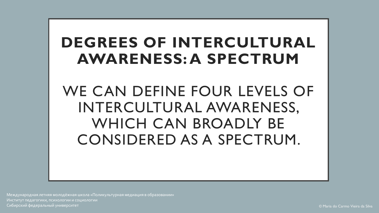## **DEGREES OF INTERCULTURAL AWARENESS: A SPECTRUM**

WE CAN DEFINE FOUR LEVELS OF INTERCULTURAL AWARENESS, WHICH CAN BROADLY BE CONSIDERED AS A SPECTRUM.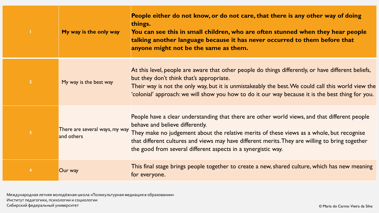|                         | My way is the only way                       | People either do not know, or do not care, that there is any other way of doing<br>things.<br>You can see this in small children, who are often stunned when they hear people<br>talking another language because it has never occurred to them before that<br>anyone might not be the same as them.                                                                                              |
|-------------------------|----------------------------------------------|---------------------------------------------------------------------------------------------------------------------------------------------------------------------------------------------------------------------------------------------------------------------------------------------------------------------------------------------------------------------------------------------------|
| $\overline{2}$          | My way is the best way                       | At this level, people are aware that other people do things differently, or have different beliefs,<br>but they don't think that's appropriate.<br>Their way is not the only way, but it is unmistakeably the best. We could call this world view the<br>'colonial' approach: we will show you how to do it our way because it is the best thing for you.                                         |
| $\overline{\mathbf{3}}$ | There are several ways, my way<br>and others | People have a clear understanding that there are other world views, and that different people<br>behave and believe differently.<br>They make no judgement about the relative merits of these views as a whole, but recognise<br>that different cultures and views may have different merits. They are willing to bring together<br>the good from several different aspects in a synergistic way. |
| $\overline{4}$          | Our way                                      | This final stage brings people together to create a new, shared culture, which has new meaning<br>for everyone.                                                                                                                                                                                                                                                                                   |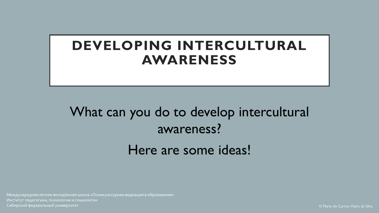## **DEVELOPING INTERCULTURAL AWARENESS**

What can you do to develop intercultural awareness? Here are some ideas!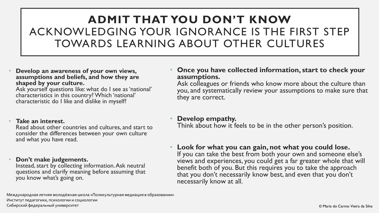## **ADMIT THAT YOU DON'T KNOW**  ACKNOWLEDGING YOUR IGNORANCE IS THE FIRST STEP TOWARDS LEARNING ABOUT OTHER CULTURES

• **Develop an awareness of your own views, assumptions and beliefs, and how they are shaped by your culture.**

Ask yourself questions like: what do I see as 'national' characteristics in this country? Which 'national' characteristic do I like and dislike in myself?

#### • **Take an interest.**

Read about other countries and cultures, and start to consider the differences between your own culture and what you have read.

#### • **Don't make judgements.**

Instead, start by collecting information. Ask neutral questions and clarify meaning before assuming that you know what's going on.

#### • **Once you have collected information, start to check your assumptions.**

Ask colleagues or friends who know more about the culture than you, and systematically review your assumptions to make sure that they are correct.

#### • **Develop empathy.**

Think about how it feels to be in the other person's position.

• **Look for what you can gain, not what you could lose.** If you can take the best from both your own and someone else's views and experiences, you could get a far greater whole that will benefit both of you. But this requires you to take the approach that you don't necessarily know best, and even that you don't necessarily know at all.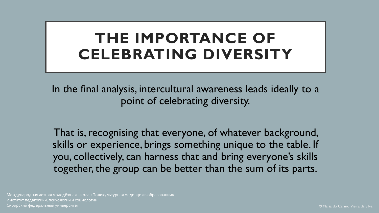## **THE IMPORTANCE OF CELEBRATING DIVERSITY**

In the final analysis, intercultural awareness leads ideally to a point of celebrating diversity.

That is, recognising that everyone, of whatever background, skills or experience, brings something unique to the table. If you, collectively, can harness that and bring everyone's skills together, the group can be better than the sum of its parts.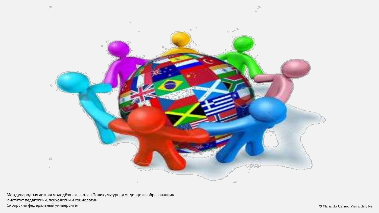

Международная летняя молодёжная школа «Поликультурная медиация в образовании» Институт педагогики, психологии и социологии Сибирский федеральный университет *в концентральн*о и магазины от совмещает от совмещает от совмещает в образно от совмещает в образно от совмещает в образно от совмещает в образно от совмещает совмещать совмещает в образ



 $\mathcal{L}_{\mathcal{F}}$